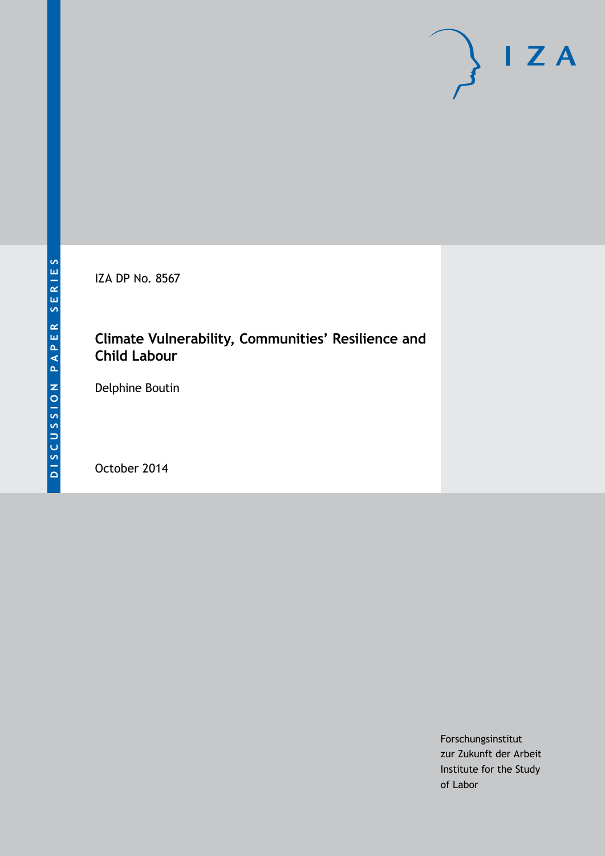IZA DP No. 8567

# **Climate Vulnerability, Communities' Resilience and Child Labour**

Delphine Boutin

October 2014

Forschungsinstitut zur Zukunft der Arbeit Institute for the Study of Labor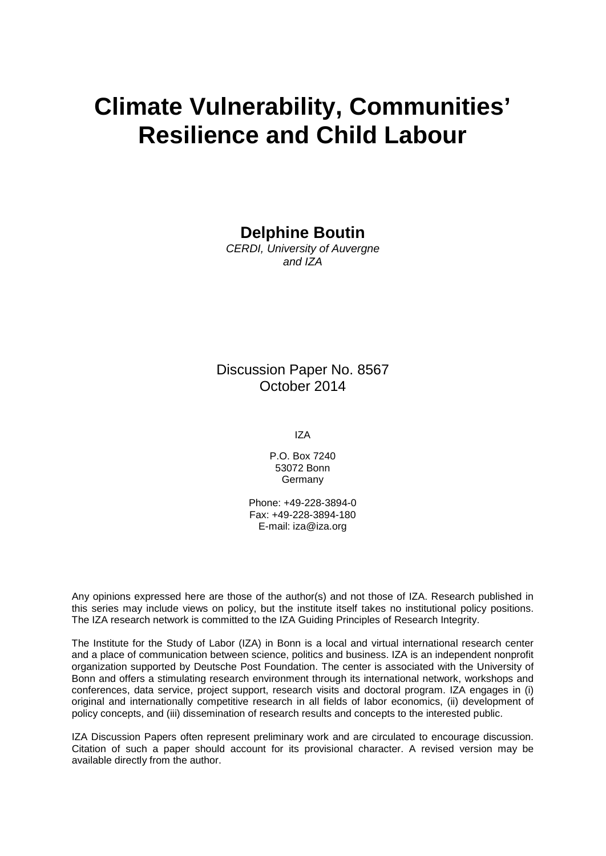# **Climate Vulnerability, Communities' Resilience and Child Labour**

**Delphine Boutin**

*CERDI, University of Auvergne and IZA*

Discussion Paper No. 8567 October 2014

IZA

P.O. Box 7240 53072 Bonn **Germany** 

Phone: +49-228-3894-0 Fax: +49-228-3894-180 E-mail: [iza@iza.org](mailto:iza@iza.org)

Any opinions expressed here are those of the author(s) and not those of IZA. Research published in this series may include views on policy, but the institute itself takes no institutional policy positions. The IZA research network is committed to the IZA Guiding Principles of Research Integrity.

The Institute for the Study of Labor (IZA) in Bonn is a local and virtual international research center and a place of communication between science, politics and business. IZA is an independent nonprofit organization supported by Deutsche Post Foundation. The center is associated with the University of Bonn and offers a stimulating research environment through its international network, workshops and conferences, data service, project support, research visits and doctoral program. IZA engages in (i) original and internationally competitive research in all fields of labor economics, (ii) development of policy concepts, and (iii) dissemination of research results and concepts to the interested public.

<span id="page-1-0"></span>IZA Discussion Papers often represent preliminary work and are circulated to encourage discussion. Citation of such a paper should account for its provisional character. A revised version may be available directly from the author.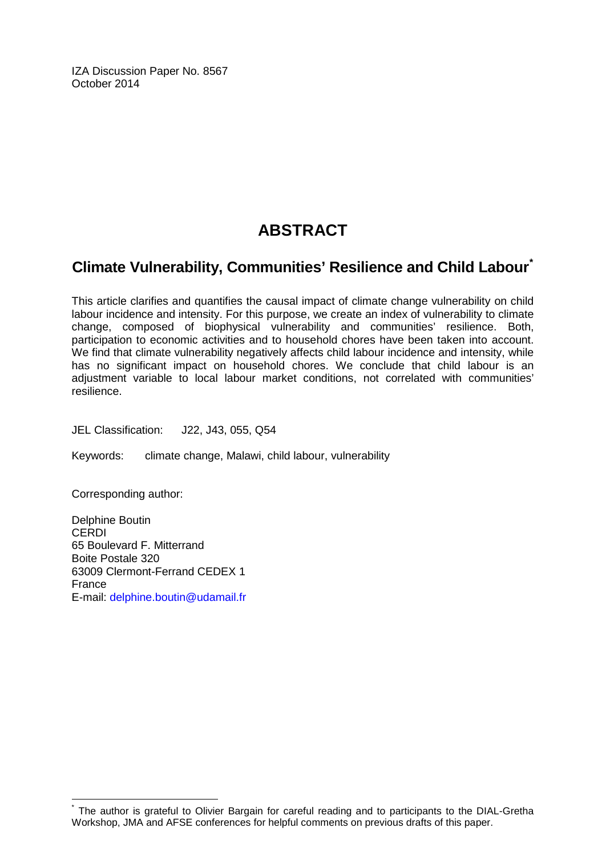IZA Discussion Paper No. 8567 October 2014

# **ABSTRACT**

# **Climate Vulnerability, Communities' Resilience and Child Labour[\\*](#page-1-0)**

This article clarifies and quantifies the causal impact of climate change vulnerability on child labour incidence and intensity. For this purpose, we create an index of vulnerability to climate change, composed of biophysical vulnerability and communities' resilience. Both, participation to economic activities and to household chores have been taken into account. We find that climate vulnerability negatively affects child labour incidence and intensity, while has no significant impact on household chores. We conclude that child labour is an adjustment variable to local labour market conditions, not correlated with communities' resilience.

JEL Classification: J22, J43, 055, Q54

Keywords: climate change, Malawi, child labour, vulnerability

Corresponding author:

Delphine Boutin CERDI 65 Boulevard F. Mitterrand Boite Postale 320 63009 Clermont-Ferrand CEDEX 1 France E-mail: [delphine.boutin@udamail.fr](mailto:delphine.boutin@udamail.fr)

The author is grateful to Olivier Bargain for careful reading and to participants to the DIAL-Gretha Workshop, JMA and AFSE conferences for helpful comments on previous drafts of this paper.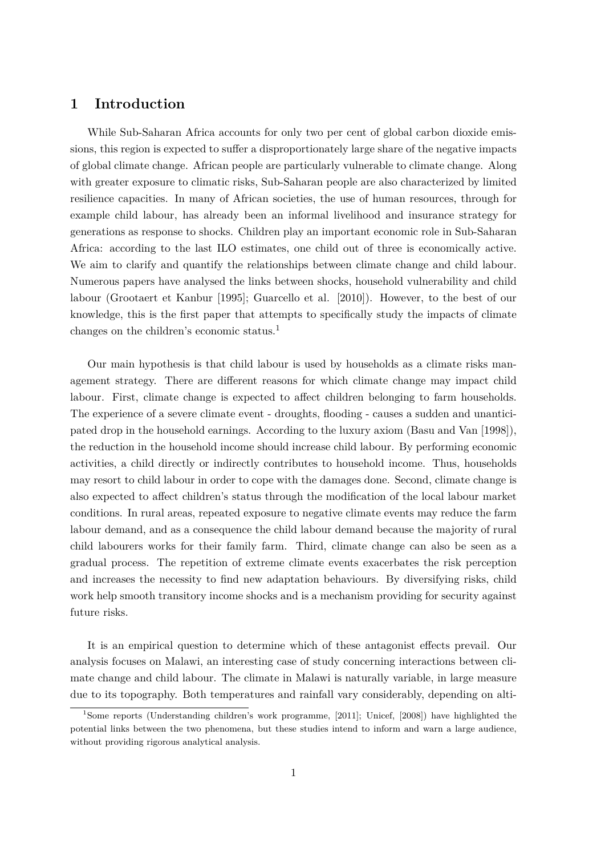### **1 Introduction**

While Sub-Saharan Africa accounts for only two per cent of global carbon dioxide emissions, this region is expected to suffer a disproportionately large share of the negative impacts of global climate change. African people are particularly vulnerable to climate change. Along with greater exposure to climatic risks, Sub-Saharan people are also characterized by limited resilience capacities. In many of African societies, the use of human resources, through for example child labour, has already been an informal livelihood and insurance strategy for generations as response to shocks. Children play an important economic role in Sub-Saharan Africa: according to the last ILO estimates, one child out of three is economically active. We aim to clarify and quantify the relationships between climate change and child labour. Numerous papers have analysed the links between shocks, household vulnerability and child labour (Grootaert et Kanbur [1995]; Guarcello et al. [2010]). However, to the best of our knowledge, this is the first paper that attempts to specifically study the impacts of climate changes on the children's economic status.<sup>1</sup>

Our main hypothesis is that child labour is used by households as a climate risks management strategy. There are different reasons for which climate change may impact child labour. First, climate change is expected to affect children belonging to farm households. The experience of a severe climate event - droughts, flooding - causes a sudden and unanticipated drop in the household earnings. According to the luxury axiom (Basu and Van [1998]), the reduction in the household income should increase child labour. By performing economic activities, a child directly or indirectly contributes to household income. Thus, households may resort to child labour in order to cope with the damages done. Second, climate change is also expected to affect children's status through the modification of the local labour market conditions. In rural areas, repeated exposure to negative climate events may reduce the farm labour demand, and as a consequence the child labour demand because the majority of rural child labourers works for their family farm. Third, climate change can also be seen as a gradual process. The repetition of extreme climate events exacerbates the risk perception and increases the necessity to find new adaptation behaviours. By diversifying risks, child work help smooth transitory income shocks and is a mechanism providing for security against future risks.

It is an empirical question to determine which of these antagonist effects prevail. Our analysis focuses on Malawi, an interesting case of study concerning interactions between climate change and child labour. The climate in Malawi is naturally variable, in large measure due to its topography. Both temperatures and rainfall vary considerably, depending on alti-

<sup>1</sup>Some reports (Understanding children's work programme, [2011]; Unicef, [2008]) have highlighted the potential links between the two phenomena, but these studies intend to inform and warn a large audience, without providing rigorous analytical analysis.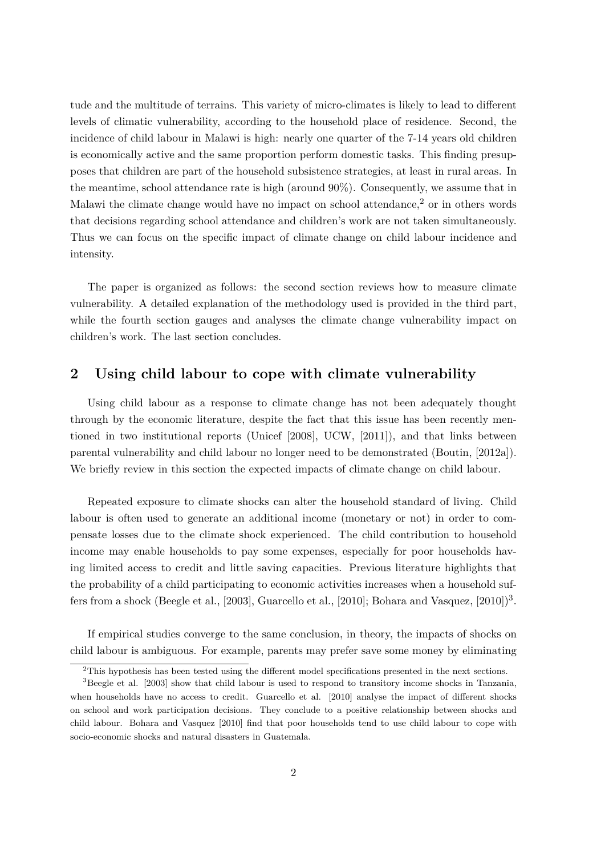tude and the multitude of terrains. This variety of micro-climates is likely to lead to different levels of climatic vulnerability, according to the household place of residence. Second, the incidence of child labour in Malawi is high: nearly one quarter of the 7-14 years old children is economically active and the same proportion perform domestic tasks. This finding presupposes that children are part of the household subsistence strategies, at least in rural areas. In the meantime, school attendance rate is high (around 90%). Consequently, we assume that in Malawi the climate change would have no impact on school attendance,<sup>2</sup> or in others words that decisions regarding school attendance and children's work are not taken simultaneously. Thus we can focus on the specific impact of climate change on child labour incidence and intensity.

The paper is organized as follows: the second section reviews how to measure climate vulnerability. A detailed explanation of the methodology used is provided in the third part, while the fourth section gauges and analyses the climate change vulnerability impact on children's work. The last section concludes.

### **2 Using child labour to cope with climate vulnerability**

Using child labour as a response to climate change has not been adequately thought through by the economic literature, despite the fact that this issue has been recently mentioned in two institutional reports (Unicef [2008], UCW, [2011]), and that links between parental vulnerability and child labour no longer need to be demonstrated (Boutin, [2012a]). We briefly review in this section the expected impacts of climate change on child labour.

Repeated exposure to climate shocks can alter the household standard of living. Child labour is often used to generate an additional income (monetary or not) in order to compensate losses due to the climate shock experienced. The child contribution to household income may enable households to pay some expenses, especially for poor households having limited access to credit and little saving capacities. Previous literature highlights that the probability of a child participating to economic activities increases when a household suffers from a shock (Beegle et al., [2003], Guarcello et al., [2010]; Bohara and Vasquez, [2010])<sup>3</sup>.

If empirical studies converge to the same conclusion, in theory, the impacts of shocks on child labour is ambiguous. For example, parents may prefer save some money by eliminating

<sup>2</sup>This hypothesis has been tested using the different model specifications presented in the next sections.

<sup>&</sup>lt;sup>3</sup>Beegle et al. [2003] show that child labour is used to respond to transitory income shocks in Tanzania, when households have no access to credit. Guarcello et al. [2010] analyse the impact of different shocks on school and work participation decisions. They conclude to a positive relationship between shocks and child labour. Bohara and Vasquez [2010] find that poor households tend to use child labour to cope with socio-economic shocks and natural disasters in Guatemala.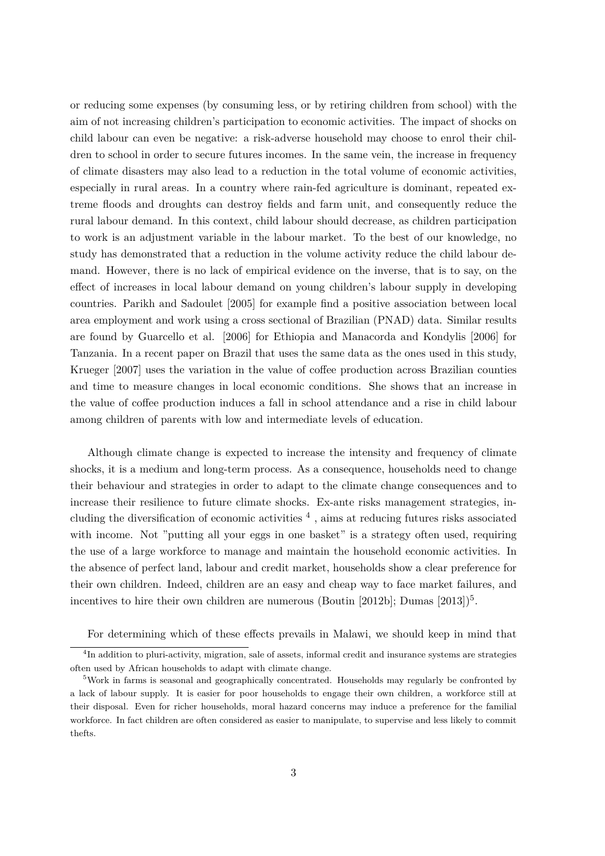or reducing some expenses (by consuming less, or by retiring children from school) with the aim of not increasing children's participation to economic activities. The impact of shocks on child labour can even be negative: a risk-adverse household may choose to enrol their children to school in order to secure futures incomes. In the same vein, the increase in frequency of climate disasters may also lead to a reduction in the total volume of economic activities, especially in rural areas. In a country where rain-fed agriculture is dominant, repeated extreme floods and droughts can destroy fields and farm unit, and consequently reduce the rural labour demand. In this context, child labour should decrease, as children participation to work is an adjustment variable in the labour market. To the best of our knowledge, no study has demonstrated that a reduction in the volume activity reduce the child labour demand. However, there is no lack of empirical evidence on the inverse, that is to say, on the effect of increases in local labour demand on young children's labour supply in developing countries. Parikh and Sadoulet [2005] for example find a positive association between local area employment and work using a cross sectional of Brazilian (PNAD) data. Similar results are found by Guarcello et al. [2006] for Ethiopia and Manacorda and Kondylis [2006] for Tanzania. In a recent paper on Brazil that uses the same data as the ones used in this study, Krueger [2007] uses the variation in the value of coffee production across Brazilian counties and time to measure changes in local economic conditions. She shows that an increase in the value of coffee production induces a fall in school attendance and a rise in child labour among children of parents with low and intermediate levels of education.

Although climate change is expected to increase the intensity and frequency of climate shocks, it is a medium and long-term process. As a consequence, households need to change their behaviour and strategies in order to adapt to the climate change consequences and to increase their resilience to future climate shocks. Ex-ante risks management strategies, including the diversification of economic activities  $<sup>4</sup>$ , aims at reducing futures risks associated</sup> with income. Not "putting all your eggs in one basket" is a strategy often used, requiring the use of a large workforce to manage and maintain the household economic activities. In the absence of perfect land, labour and credit market, households show a clear preference for their own children. Indeed, children are an easy and cheap way to face market failures, and incentives to hire their own children are numerous (Boutin [2012b]; Dumas  $[2013]$ <sup>5</sup>.

For determining which of these effects prevails in Malawi, we should keep in mind that

<sup>&</sup>lt;sup>4</sup>In addition to pluri-activity, migration, sale of assets, informal credit and insurance systems are strategies often used by African households to adapt with climate change.

<sup>5</sup>Work in farms is seasonal and geographically concentrated. Households may regularly be confronted by a lack of labour supply. It is easier for poor households to engage their own children, a workforce still at their disposal. Even for richer households, moral hazard concerns may induce a preference for the familial workforce. In fact children are often considered as easier to manipulate, to supervise and less likely to commit thefts.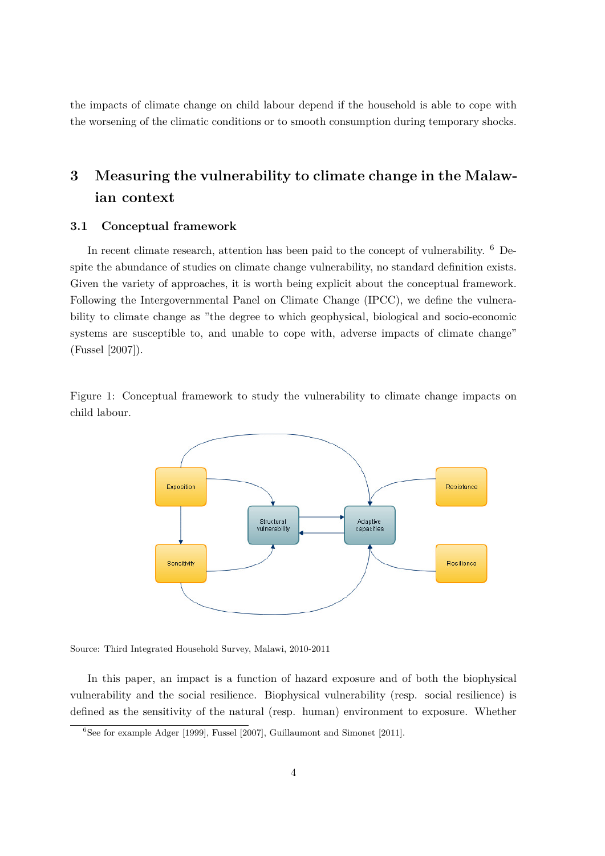the impacts of climate change on child labour depend if the household is able to cope with the worsening of the climatic conditions or to smooth consumption during temporary shocks.

# **3 Measuring the vulnerability to climate change in the Malawian context**

#### **3.1 Conceptual framework**

In recent climate research, attention has been paid to the concept of vulnerability. <sup>6</sup> Despite the abundance of studies on climate change vulnerability, no standard definition exists. Given the variety of approaches, it is worth being explicit about the conceptual framework. Following the Intergovernmental Panel on Climate Change (IPCC), we define the vulnerability to climate change as "the degree to which geophysical, biological and socio-economic systems are susceptible to, and unable to cope with, adverse impacts of climate change" (Fussel [2007]).

Figure 1: Conceptual framework to study the vulnerability to climate change impacts on child labour.



Source: Third Integrated Household Survey, Malawi, 2010-2011

In this paper, an impact is a function of hazard exposure and of both the biophysical vulnerability and the social resilience. Biophysical vulnerability (resp. social resilience) is defined as the sensitivity of the natural (resp. human) environment to exposure. Whether

 ${}^{6}$ See for example Adger [1999], Fussel [2007], Guillaumont and Simonet [2011].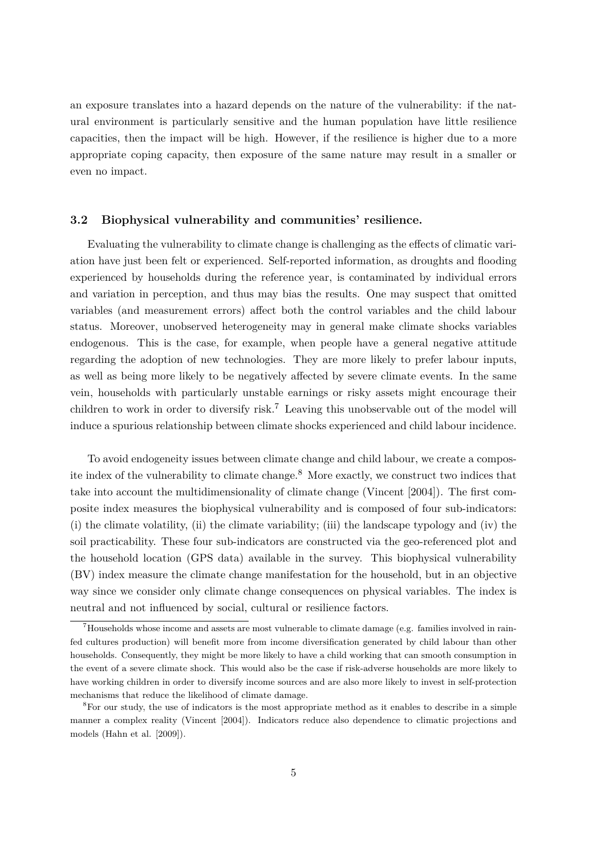an exposure translates into a hazard depends on the nature of the vulnerability: if the natural environment is particularly sensitive and the human population have little resilience capacities, then the impact will be high. However, if the resilience is higher due to a more appropriate coping capacity, then exposure of the same nature may result in a smaller or even no impact.

#### **3.2 Biophysical vulnerability and communities' resilience.**

Evaluating the vulnerability to climate change is challenging as the effects of climatic variation have just been felt or experienced. Self-reported information, as droughts and flooding experienced by households during the reference year, is contaminated by individual errors and variation in perception, and thus may bias the results. One may suspect that omitted variables (and measurement errors) affect both the control variables and the child labour status. Moreover, unobserved heterogeneity may in general make climate shocks variables endogenous. This is the case, for example, when people have a general negative attitude regarding the adoption of new technologies. They are more likely to prefer labour inputs, as well as being more likely to be negatively affected by severe climate events. In the same vein, households with particularly unstable earnings or risky assets might encourage their children to work in order to diversify risk.<sup>7</sup> Leaving this unobservable out of the model will induce a spurious relationship between climate shocks experienced and child labour incidence.

To avoid endogeneity issues between climate change and child labour, we create a composite index of the vulnerability to climate change.<sup>8</sup> More exactly, we construct two indices that take into account the multidimensionality of climate change (Vincent [2004]). The first composite index measures the biophysical vulnerability and is composed of four sub-indicators: (i) the climate volatility, (ii) the climate variability; (iii) the landscape typology and (iv) the soil practicability. These four sub-indicators are constructed via the geo-referenced plot and the household location (GPS data) available in the survey. This biophysical vulnerability (BV) index measure the climate change manifestation for the household, but in an objective way since we consider only climate change consequences on physical variables. The index is neutral and not influenced by social, cultural or resilience factors.

<sup>7</sup>Households whose income and assets are most vulnerable to climate damage (e.g. families involved in rainfed cultures production) will benefit more from income diversification generated by child labour than other households. Consequently, they might be more likely to have a child working that can smooth consumption in the event of a severe climate shock. This would also be the case if risk-adverse households are more likely to have working children in order to diversify income sources and are also more likely to invest in self-protection mechanisms that reduce the likelihood of climate damage.

<sup>8</sup>For our study, the use of indicators is the most appropriate method as it enables to describe in a simple manner a complex reality (Vincent [2004]). Indicators reduce also dependence to climatic projections and models (Hahn et al. [2009]).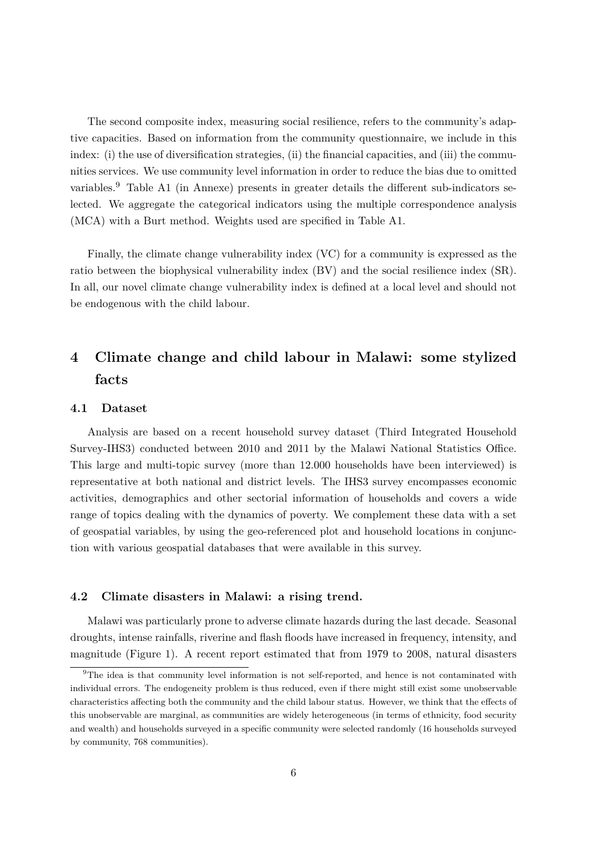The second composite index, measuring social resilience, refers to the community's adaptive capacities. Based on information from the community questionnaire, we include in this index: (i) the use of diversification strategies, (ii) the financial capacities, and (iii) the communities services. We use community level information in order to reduce the bias due to omitted variables.<sup>9</sup> Table A1 (in Annexe) presents in greater details the different sub-indicators selected. We aggregate the categorical indicators using the multiple correspondence analysis (MCA) with a Burt method. Weights used are specified in Table A1.

Finally, the climate change vulnerability index (VC) for a community is expressed as the ratio between the biophysical vulnerability index (BV) and the social resilience index (SR). In all, our novel climate change vulnerability index is defined at a local level and should not be endogenous with the child labour.

# **4 Climate change and child labour in Malawi: some stylized facts**

#### **4.1 Dataset**

Analysis are based on a recent household survey dataset (Third Integrated Household Survey-IHS3) conducted between 2010 and 2011 by the Malawi National Statistics Office. This large and multi-topic survey (more than 12.000 households have been interviewed) is representative at both national and district levels. The IHS3 survey encompasses economic activities, demographics and other sectorial information of households and covers a wide range of topics dealing with the dynamics of poverty. We complement these data with a set of geospatial variables, by using the geo-referenced plot and household locations in conjunction with various geospatial databases that were available in this survey.

#### **4.2 Climate disasters in Malawi: a rising trend.**

Malawi was particularly prone to adverse climate hazards during the last decade. Seasonal droughts, intense rainfalls, riverine and flash floods have increased in frequency, intensity, and magnitude (Figure 1). A recent report estimated that from 1979 to 2008, natural disasters

<sup>&</sup>lt;sup>9</sup>The idea is that community level information is not self-reported, and hence is not contaminated with individual errors. The endogeneity problem is thus reduced, even if there might still exist some unobservable characteristics affecting both the community and the child labour status. However, we think that the effects of this unobservable are marginal, as communities are widely heterogeneous (in terms of ethnicity, food security and wealth) and households surveyed in a specific community were selected randomly (16 households surveyed by community, 768 communities).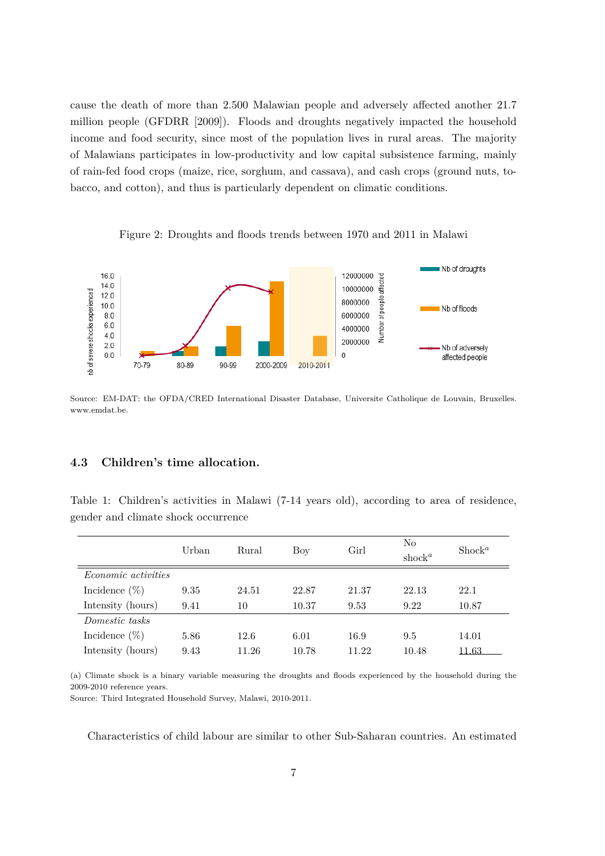cause the death of more than 2.500 Malawian people and adversely affected another 21.7 million people (GFDRR [2009]). Floods and droughts negatively impacted the household income and food security, since most of the population lives in rural areas. The majority of Malawians participates in low-productivity and low capital subsistence farming, mainly of rain-fed food crops (maize, rice, sorghum, and cassava), and cash crops (ground nuts, tobacco, and cotton), and thus is particularly dependent on climatic conditions.



Figure 2: Droughts and floods trends between 1970 and 2011 in Malawi

Source: EM-DAT: the OFDA/CRED International Disaster Database, Universite Catholique de Louvain, Bruxelles. www.emdat.be.

#### **4.3 Children's time allocation.**

Table 1: Children's activities in Malawi (7-14 years old), according to area of residence, gender and climate shock occurrence

|                            | Urban | Rural | Boy   | Girl  | $\rm No$<br>shock <sup>a</sup> | $\text{Shock}^a$ |
|----------------------------|-------|-------|-------|-------|--------------------------------|------------------|
| <i>Economic activities</i> |       |       |       |       |                                |                  |
| Incidence $(\%)$           | 9.35  | 24.51 | 22.87 | 21.37 | 22.13                          | 22.1             |
| Intensity (hours)          | 9.41  | 10    | 10.37 | 9.53  | 9.22                           | 10.87            |
| Domestic tasks             |       |       |       |       |                                |                  |
| Incidence $(\%)$           | 5.86  | 12.6  | 6.01  | 16.9  | 9.5                            | 14.01            |
| Intensity (hours)          | 9.43  | 11.26 | 10.78 | 11.22 | 10.48                          | 11.63            |

(a) Climate shock is a binary variable measuring the droughts and floods experienced by the household during the 2009-2010 reference years.

Source: Third Integrated Household Survey, Malawi, 2010-2011.

Characteristics of child labour are similar to other Sub-Saharan countries. An estimated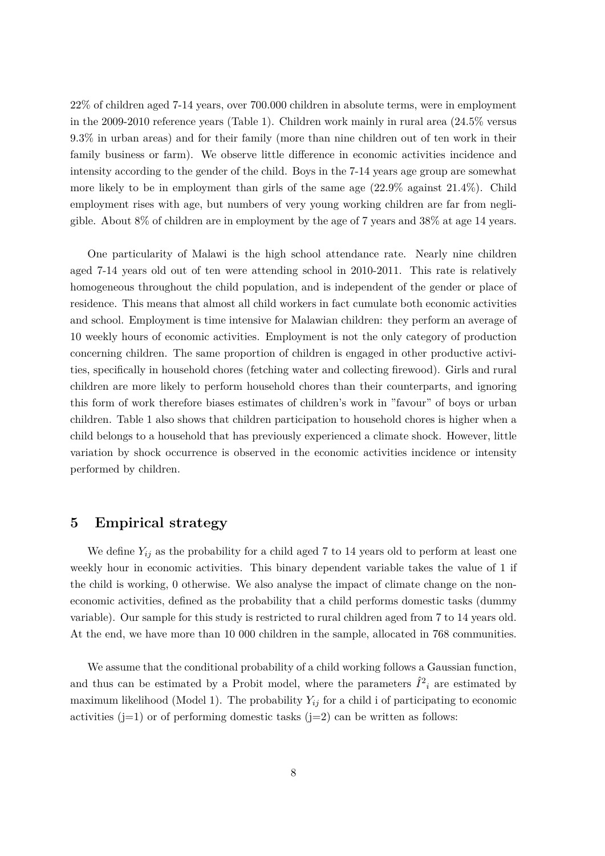22% of children aged 7-14 years, over 700.000 children in absolute terms, were in employment in the 2009-2010 reference years (Table 1). Children work mainly in rural area (24.5% versus 9.3% in urban areas) and for their family (more than nine children out of ten work in their family business or farm). We observe little difference in economic activities incidence and intensity according to the gender of the child. Boys in the 7-14 years age group are somewhat more likely to be in employment than girls of the same age  $(22.9\%$  against  $21.4\%)$ . Child employment rises with age, but numbers of very young working children are far from negligible. About 8% of children are in employment by the age of 7 years and 38% at age 14 years.

One particularity of Malawi is the high school attendance rate. Nearly nine children aged 7-14 years old out of ten were attending school in 2010-2011. This rate is relatively homogeneous throughout the child population, and is independent of the gender or place of residence. This means that almost all child workers in fact cumulate both economic activities and school. Employment is time intensive for Malawian children: they perform an average of 10 weekly hours of economic activities. Employment is not the only category of production concerning children. The same proportion of children is engaged in other productive activities, specifically in household chores (fetching water and collecting firewood). Girls and rural children are more likely to perform household chores than their counterparts, and ignoring this form of work therefore biases estimates of children's work in "favour" of boys or urban children. Table 1 also shows that children participation to household chores is higher when a child belongs to a household that has previously experienced a climate shock. However, little variation by shock occurrence is observed in the economic activities incidence or intensity performed by children.

### **5 Empirical strategy**

We define *Yij* as the probability for a child aged 7 to 14 years old to perform at least one weekly hour in economic activities. This binary dependent variable takes the value of 1 if the child is working, 0 otherwise. We also analyse the impact of climate change on the noneconomic activities, defined as the probability that a child performs domestic tasks (dummy variable). Our sample for this study is restricted to rural children aged from 7 to 14 years old. At the end, we have more than 10 000 children in the sample, allocated in 768 communities.

We assume that the conditional probability of a child working follows a Gaussian function, and thus can be estimated by a Probit model, where the parameters  $\hat{I}^2_i$  are estimated by maximum likelihood (Model 1). The probability  $Y_{ij}$  for a child i of participating to economic activities  $(j=1)$  or of performing domestic tasks  $(j=2)$  can be written as follows: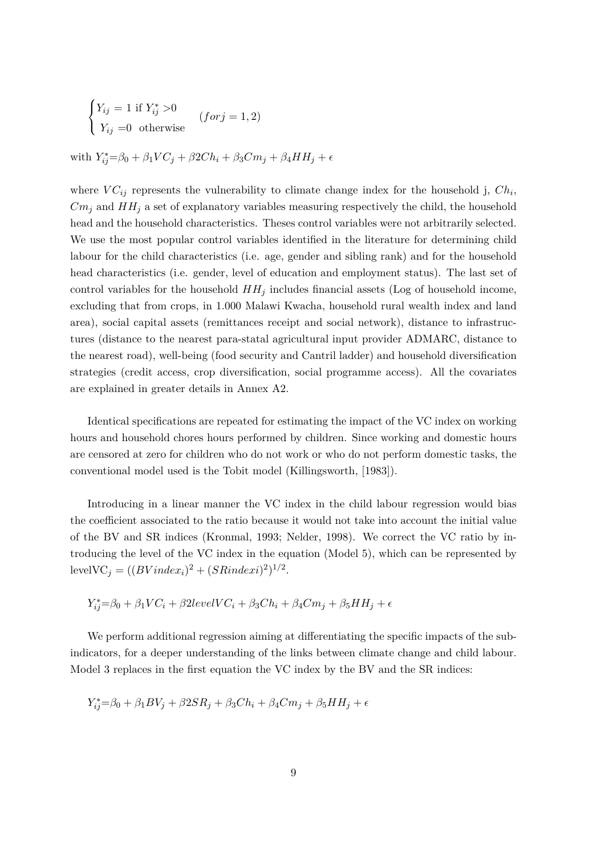$$
\begin{cases}\nY_{ij} = 1 \text{ if } Y_{ij}^* > 0 \\
Y_{ij} = 0 \text{ otherwise}\n\end{cases} (for j = 1, 2)
$$

 $W_{ij}^* = \beta_0 + \beta_1 V C_j + \beta_2 C h_i + \beta_3 C m_j + \beta_4 H H_j + \epsilon$ 

where  $VC_{ij}$  represents the vulnerability to climate change index for the household j,  $Ch_i$ ,  $Cm_i$  and  $HH_i$  a set of explanatory variables measuring respectively the child, the household head and the household characteristics. Theses control variables were not arbitrarily selected. We use the most popular control variables identified in the literature for determining child labour for the child characteristics (i.e. age, gender and sibling rank) and for the household head characteristics (i.e. gender, level of education and employment status). The last set of control variables for the household  $HH<sub>j</sub>$  includes financial assets (Log of household income, excluding that from crops, in 1.000 Malawi Kwacha, household rural wealth index and land area), social capital assets (remittances receipt and social network), distance to infrastructures (distance to the nearest para-statal agricultural input provider ADMARC, distance to the nearest road), well-being (food security and Cantril ladder) and household diversification strategies (credit access, crop diversification, social programme access). All the covariates are explained in greater details in Annex A2.

Identical specifications are repeated for estimating the impact of the VC index on working hours and household chores hours performed by children. Since working and domestic hours are censored at zero for children who do not work or who do not perform domestic tasks, the conventional model used is the Tobit model (Killingsworth, [1983]).

Introducing in a linear manner the VC index in the child labour regression would bias the coefficient associated to the ratio because it would not take into account the initial value of the BV and SR indices (Kronmal, 1993; Nelder, 1998). We correct the VC ratio by introducing the level of the VC index in the equation (Model 5), which can be represented by  $levelVC_j = ((BVindex_i)^2 + (SRindex_i)^2)^{1/2}.$ 

$$
Y_{ij}^* = \beta_0 + \beta_1 VC_i + \beta_2 level VC_i + \beta_3 Ch_i + \beta_4 C m_j + \beta_5 HH_j + \epsilon
$$

We perform additional regression aiming at differentiating the specific impacts of the subindicators, for a deeper understanding of the links between climate change and child labour. Model 3 replaces in the first equation the VC index by the BV and the SR indices:

$$
Y_{ij}^* = \beta_0 + \beta_1 BV_j + \beta_2 SR_j + \beta_3 Ch_i + \beta_4 C m_j + \beta_5 HH_j + \epsilon
$$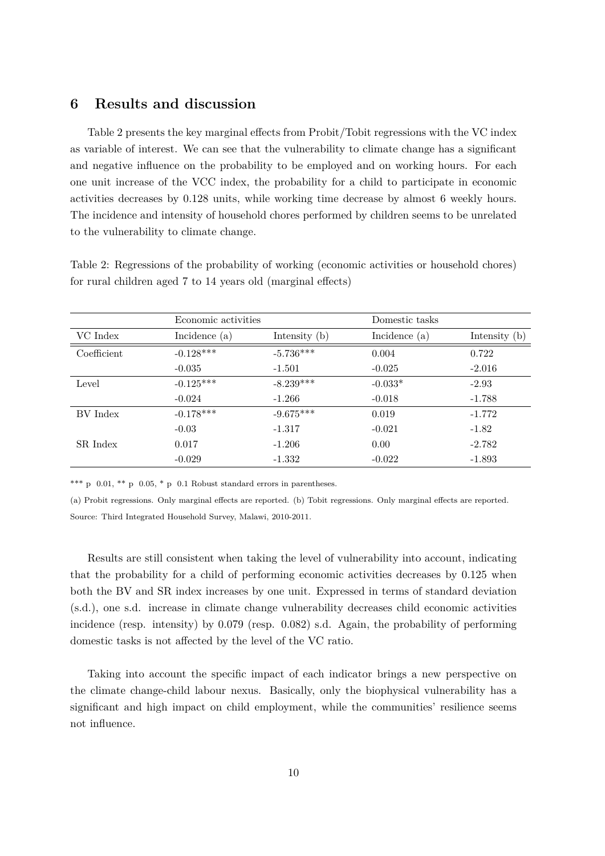### **6 Results and discussion**

Table 2 presents the key marginal effects from Probit/Tobit regressions with the VC index as variable of interest. We can see that the vulnerability to climate change has a significant and negative influence on the probability to be employed and on working hours. For each one unit increase of the VCC index, the probability for a child to participate in economic activities decreases by 0.128 units, while working time decrease by almost 6 weekly hours. The incidence and intensity of household chores performed by children seems to be unrelated to the vulnerability to climate change.

Table 2: Regressions of the probability of working (economic activities or household chores) for rural children aged 7 to 14 years old (marginal effects)

|             | Economic activities |                 | Domestic tasks  |                 |
|-------------|---------------------|-----------------|-----------------|-----------------|
| VC Index    | Incidence (a)       | Intensity $(b)$ | Incidence $(a)$ | Intensity $(b)$ |
| Coefficient | $-0.128***$         | $-5.736***$     | 0.004           | 0.722           |
|             | $-0.035$            | $-1.501$        | $-0.025$        | $-2.016$        |
| Level       | $-0.125***$         | $-8.239***$     | $-0.033*$       | $-2.93$         |
|             | $-0.024$            | $-1.266$        | $-0.018$        | $-1.788$        |
| BV Index    | $-0.178***$         | $-9.675***$     | 0.019           | $-1.772$        |
|             | $-0.03$             | $-1.317$        | $-0.021$        | $-1.82$         |
| SR Index    | 0.017               | $-1.206$        | 0.00            | $-2.782$        |
|             | $-0.029$            | $-1.332$        | $-0.022$        | $-1.893$        |

\*\*\* p  $0.01$ , \*\* p  $0.05$ , \* p  $0.1$  Robust standard errors in parentheses.

(a) Probit regressions. Only marginal effects are reported. (b) Tobit regressions. Only marginal effects are reported. Source: Third Integrated Household Survey, Malawi, 2010-2011.

Results are still consistent when taking the level of vulnerability into account, indicating that the probability for a child of performing economic activities decreases by 0.125 when both the BV and SR index increases by one unit. Expressed in terms of standard deviation (s.d.), one s.d. increase in climate change vulnerability decreases child economic activities incidence (resp. intensity) by 0.079 (resp. 0.082) s.d. Again, the probability of performing domestic tasks is not affected by the level of the VC ratio.

Taking into account the specific impact of each indicator brings a new perspective on the climate change-child labour nexus. Basically, only the biophysical vulnerability has a significant and high impact on child employment, while the communities' resilience seems not influence.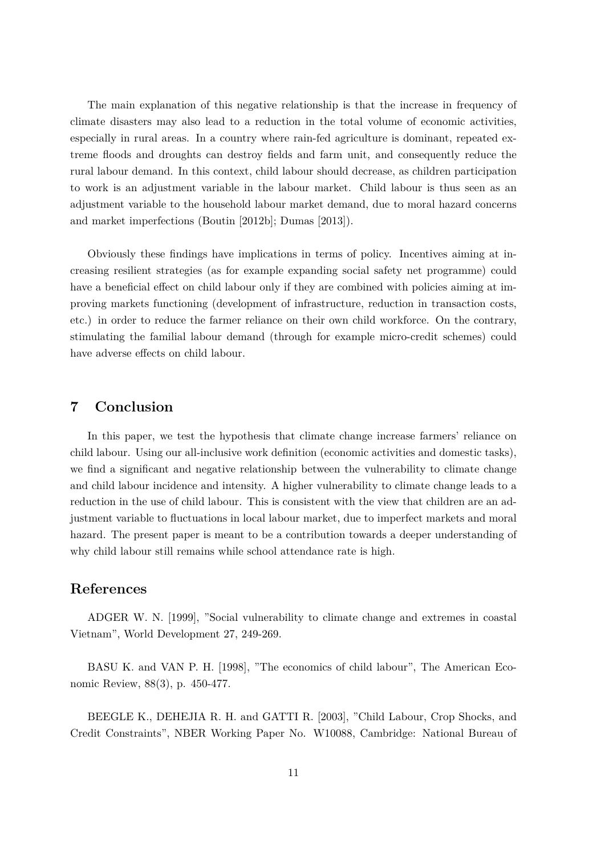The main explanation of this negative relationship is that the increase in frequency of climate disasters may also lead to a reduction in the total volume of economic activities, especially in rural areas. In a country where rain-fed agriculture is dominant, repeated extreme floods and droughts can destroy fields and farm unit, and consequently reduce the rural labour demand. In this context, child labour should decrease, as children participation to work is an adjustment variable in the labour market. Child labour is thus seen as an adjustment variable to the household labour market demand, due to moral hazard concerns and market imperfections (Boutin [2012b]; Dumas [2013]).

Obviously these findings have implications in terms of policy. Incentives aiming at increasing resilient strategies (as for example expanding social safety net programme) could have a beneficial effect on child labour only if they are combined with policies aiming at improving markets functioning (development of infrastructure, reduction in transaction costs, etc.) in order to reduce the farmer reliance on their own child workforce. On the contrary, stimulating the familial labour demand (through for example micro-credit schemes) could have adverse effects on child labour.

## **7 Conclusion**

In this paper, we test the hypothesis that climate change increase farmers' reliance on child labour. Using our all-inclusive work definition (economic activities and domestic tasks), we find a significant and negative relationship between the vulnerability to climate change and child labour incidence and intensity. A higher vulnerability to climate change leads to a reduction in the use of child labour. This is consistent with the view that children are an adjustment variable to fluctuations in local labour market, due to imperfect markets and moral hazard. The present paper is meant to be a contribution towards a deeper understanding of why child labour still remains while school attendance rate is high.

### **References**

ADGER W. N. [1999], "Social vulnerability to climate change and extremes in coastal Vietnam", World Development 27, 249-269.

BASU K. and VAN P. H. [1998], "The economics of child labour", The American Economic Review, 88(3), p. 450-477.

BEEGLE K., DEHEJIA R. H. and GATTI R. [2003], "Child Labour, Crop Shocks, and Credit Constraints", NBER Working Paper No. W10088, Cambridge: National Bureau of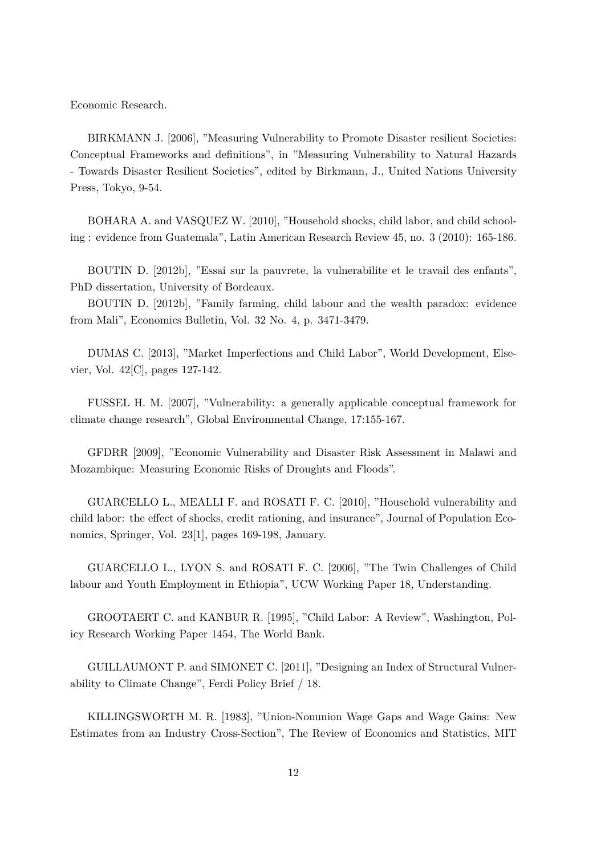Economic Research.

BIRKMANN J. [2006], "Measuring Vulnerability to Promote Disaster resilient Societies: Conceptual Frameworks and definitions", in "Measuring Vulnerability to Natural Hazards - Towards Disaster Resilient Societies", edited by Birkmann, J., United Nations University Press, Tokyo, 9-54.

BOHARA A. and VASQUEZ W. [2010], "Household shocks, child labor, and child schooling : evidence from Guatemala", Latin American Research Review 45, no. 3 (2010): 165-186.

BOUTIN D. [2012b], "Essai sur la pauvrete, la vulnerabilite et le travail des enfants", PhD dissertation, University of Bordeaux.

BOUTIN D. [2012b], "Family farming, child labour and the wealth paradox: evidence from Mali", Economics Bulletin, Vol. 32 No. 4, p. 3471-3479.

DUMAS C. [2013], "Market Imperfections and Child Labor", World Development, Elsevier, Vol. 42[C], pages 127-142.

FUSSEL H. M. [2007], "Vulnerability: a generally applicable conceptual framework for climate change research", Global Environmental Change, 17:155-167.

GFDRR [2009], "Economic Vulnerability and Disaster Risk Assessment in Malawi and Mozambique: Measuring Economic Risks of Droughts and Floods".

GUARCELLO L., MEALLI F. and ROSATI F. C. [2010], "Household vulnerability and child labor: the effect of shocks, credit rationing, and insurance", Journal of Population Economics, Springer, Vol. 23[1], pages 169-198, January.

GUARCELLO L., LYON S. and ROSATI F. C. [2006], "The Twin Challenges of Child labour and Youth Employment in Ethiopia", UCW Working Paper 18, Understanding.

GROOTAERT C. and KANBUR R. [1995], "Child Labor: A Review", Washington, Policy Research Working Paper 1454, The World Bank.

GUILLAUMONT P. and SIMONET C. [2011], "Designing an Index of Structural Vulnerability to Climate Change", Ferdi Policy Brief / 18.

KILLINGSWORTH M. R. [1983], "Union-Nonunion Wage Gaps and Wage Gains: New Estimates from an Industry Cross-Section", The Review of Economics and Statistics, MIT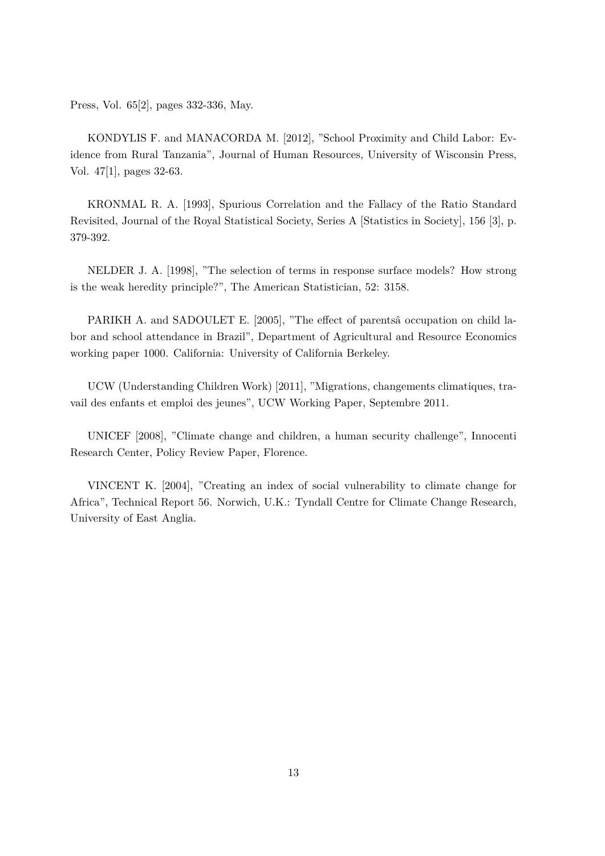Press, Vol. 65[2], pages 332-336, May.

KONDYLIS F. and MANACORDA M. [2012], "School Proximity and Child Labor: Evidence from Rural Tanzania", Journal of Human Resources, University of Wisconsin Press, Vol. 47[1], pages 32-63.

KRONMAL R. A. [1993], Spurious Correlation and the Fallacy of the Ratio Standard Revisited, Journal of the Royal Statistical Society, Series A [Statistics in Society], 156 [3], p. 379-392.

NELDER J. A. [1998], "The selection of terms in response surface models? How strong is the weak heredity principle?", The American Statistician, 52: 3158.

PARIKH A. and SADOULET E. [2005], "The effect of parentsa occupation on child labor and school attendance in Brazil", Department of Agricultural and Resource Economics working paper 1000. California: University of California Berkeley.

UCW (Understanding Children Work) [2011], "Migrations, changements climatiques, travail des enfants et emploi des jeunes", UCW Working Paper, Septembre 2011.

UNICEF [2008], "Climate change and children, a human security challenge", Innocenti Research Center, Policy Review Paper, Florence.

VINCENT K. [2004], "Creating an index of social vulnerability to climate change for Africa", Technical Report 56. Norwich, U.K.: Tyndall Centre for Climate Change Research, University of East Anglia.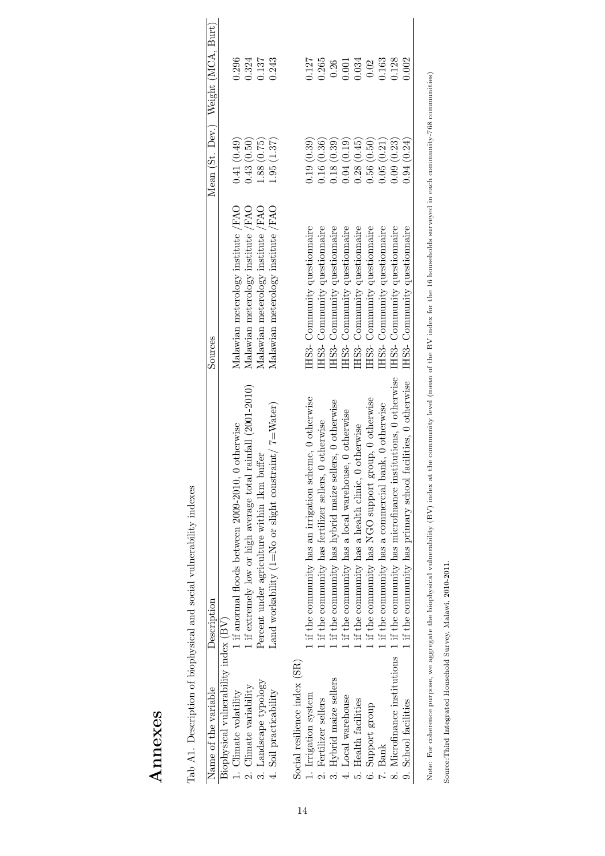| ı<br>an of other as<br>ı<br>í<br>i                                  |
|---------------------------------------------------------------------|
| j<br>l<br>is an international<br>١<br>ı                             |
| ı<br>c is control.<br>ı                                             |
| i<br>i<br>j                                                         |
| $\overline{1}$<br>ĺ<br>ı<br>l<br>l<br>$\overline{\phantom{a}}$<br>l |
| I<br>$\frac{1}{2}$<br>ı<br>ı<br>l<br>l                              |
| ۱<br>l<br>i<br>ı<br>١<br>5<br>j                                     |
|                                                                     |

| Name of the variable                 | Description                                                           | Sources                              |             | Mean (St. Dev.) Weight (MCA, Burt) |
|--------------------------------------|-----------------------------------------------------------------------|--------------------------------------|-------------|------------------------------------|
| Biophysical vulnerability index (BV) |                                                                       |                                      |             |                                    |
| L. Climate volatility                | otherwise<br>1 if anormal floods between 2009-2010, 0                 | Malawian meterology institute /FAO   | 0.41(0.49)  | 0.296                              |
| 2. Climate variability               | rainfall (2001-2010)<br>1 if extremely low or high average total $r$  | Malawian meterology institute /FAO   | 0.43(0.50)  | 0.324                              |
| 3. Landscape typology                | Percent under agriculture within 1km buffer                           | Malawian meterology institute /FAO   | (.88)(0.75) | 0.137                              |
| 4. Soil practicability               | Land workability (1=No or slight constraint/ $7 = W_{\text{after}}$ ) | Malawian meterology institute /FAO   | (.95(1.37)) | 0.243                              |
| Social resilience index (SR)         |                                                                       |                                      |             |                                    |
| 1. Irrigation system                 | If the community has an irrigation scheme, 0 otherwise                | IHS3- Community questionnaire        | 0.19(0.39)  | 1127                               |
| 2. Fertilizer sellers                | 0 otherwise<br>1 if the community has fertilizer sellers,             | HS3- Community questionnaire         | 0.16(0.36)  | 0.265                              |
| 3. Hybrid maize sellers              | 1 if the community has hybrid maize sellers, 0 otherwise              | HS3- Community questionnaire         | 0.18(0.39)  | 0.26                               |
| 4. Local warehouse                   | 1 if the community has a local warehouse, 0 otherwise                 | HS3- Community questionnaire         | 0.04(0.19)  | 1.001                              |
| 5. Health facilities                 | 1 if the community has a health clinic, 0 otherwise                   | HS3- Community questionnaire         | 0.28(0.45)  | 0.34                               |
| 6. Support group                     | 1 if the community has NGO support group, 0 otherwise                 | IHS3- Community questionnaire        | 0.56(0.50)  | 0.02                               |
| 7. Bank                              | 1 if the community has a commercial bank, 0 otherwise                 | <b>IHS3-</b> Community questionnaire | 0.05(0.21)  | 0.163                              |
| 8. Microfinance institutions         | 1 if the community has microfinance institutions, 0 otherwise         | IHS3- Community questionnaire        | 0.09(0.23)  | 0.128                              |
| 9. School facilities                 | If the community has primary school facilities, 0 otherwise           | IHS3- Community questionnaire        | 0.94(0.24)  | 0.002                              |

Note: For coherence purpose, we aggregate the biophysical vulnerability (BV) index at the community level (mean of the BV index for the 16 households surveyed in each community-768 communities) Note: For coherence purpose, we aggregate the biophysical vulnerability (BV) index at the community level (mean of the BV index for the 16 households surveyed in each community-768 communities)

Source:Third Integrated Household Survey, Malawi, 2010-2011. Source:Third Integrated Household Survey, Malawi, 2010-2011.